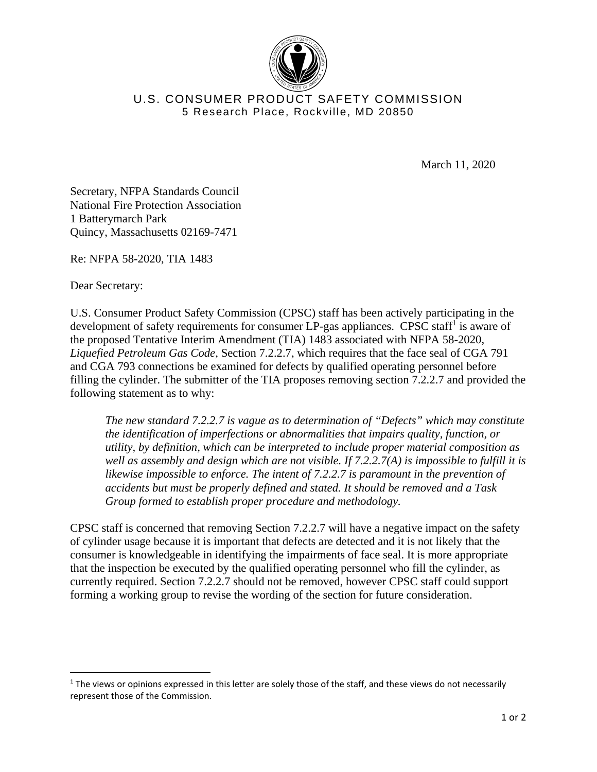

## U.S. CONSUMER PRODUCT SAFETY COMMISSION 5 Research Place, Rockville, MD 20850

March 11, 2020

Secretary, NFPA Standards Council National Fire Protection Association 1 Batterymarch Park Quincy, Massachusetts 02169-7471

Re: NFPA 58-2020, TIA 1483

Dear Secretary:

U.S. Consumer Product Safety Commission (CPSC) staff has been actively participating in the development of safety requirements for consumer LP-gas appliances. CPSC staff<sup>1</sup> is aware of the proposed Tentative Interim Amendment (TIA) 1483 associated with NFPA 58-2020, *Liquefied Petroleum Gas Code*, Section 7.2.2.7, which requires that the face seal of CGA 791 and CGA 793 connections be examined for defects by qualified operating personnel before filling the cylinder. The submitter of the TIA proposes removing section 7.2.2.7 and provided the following statement as to why:

*The new standard 7.2.2.7 is vague as to determination of "Defects" which may constitute the identification of imperfections or abnormalities that impairs quality, function, or utility, by definition, which can be interpreted to include proper material composition as well as assembly and design which are not visible. If 7.2.2.7(A) is impossible to fulfill it is likewise impossible to enforce. The intent of 7.2.2.7 is paramount in the prevention of accidents but must be properly defined and stated. It should be removed and a Task Group formed to establish proper procedure and methodology.* 

CPSC staff is concerned that removing Section 7.2.2.7 will have a negative impact on the safety of cylinder usage because it is important that defects are detected and it is not likely that the consumer is knowledgeable in identifying the impairments of face seal. It is more appropriate that the inspection be executed by the qualified operating personnel who fill the cylinder, as currently required. Section 7.2.2.7 should not be removed, however CPSC staff could support forming a working group to revise the wording of the section for future consideration.

 $1$  The views or opinions expressed in this letter are solely those of the staff, and these views do not necessarily represent those of the Commission.